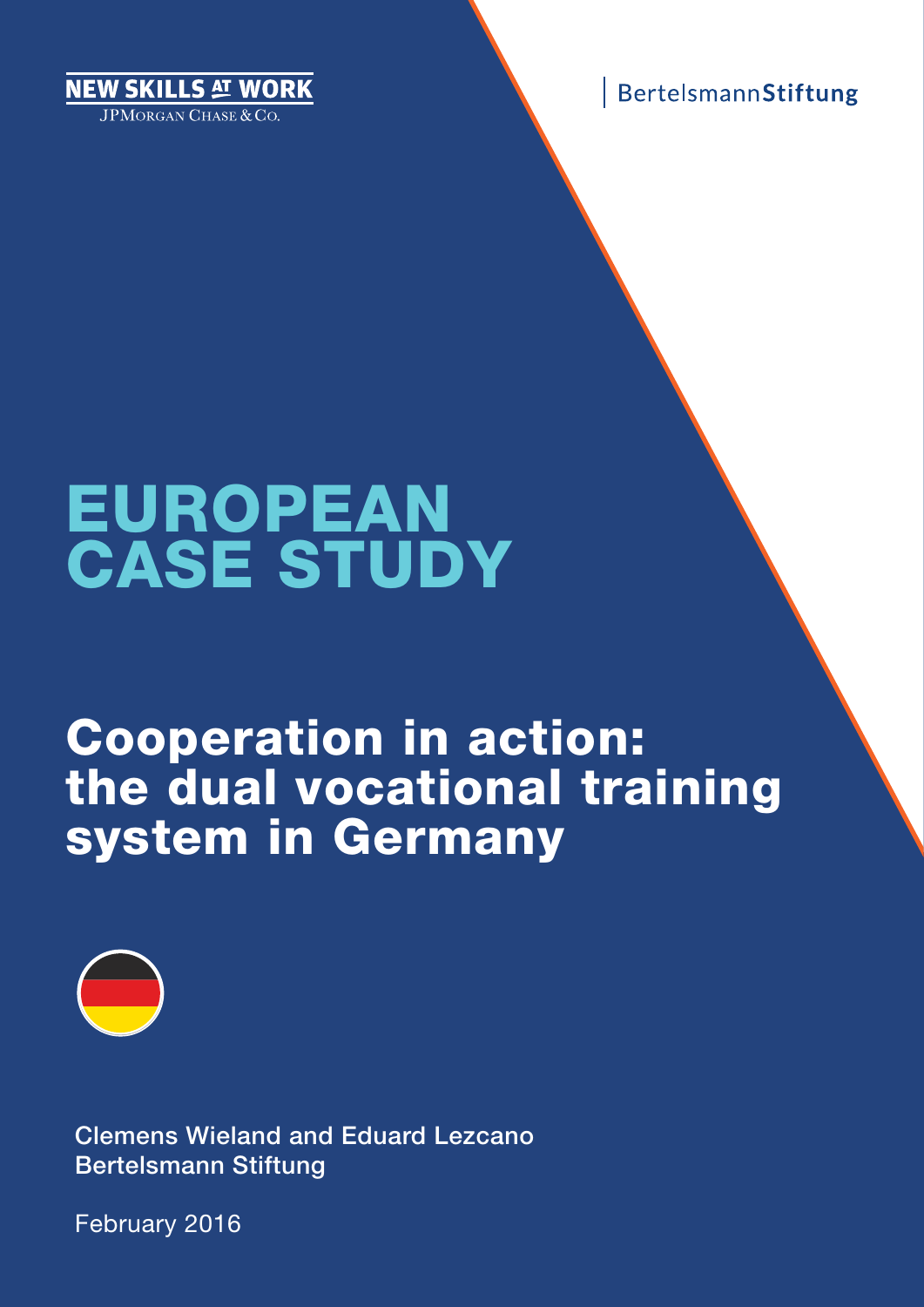EW SKILLS AT WORK **IPMORGAN CHASE & CO.** 



# EUROPEAN CASE STUDY

# Cooperation in action: the dual vocational training system in Germany



Clemens Wieland and Eduard Lezcano Bertelsmann Stiftung

February 2016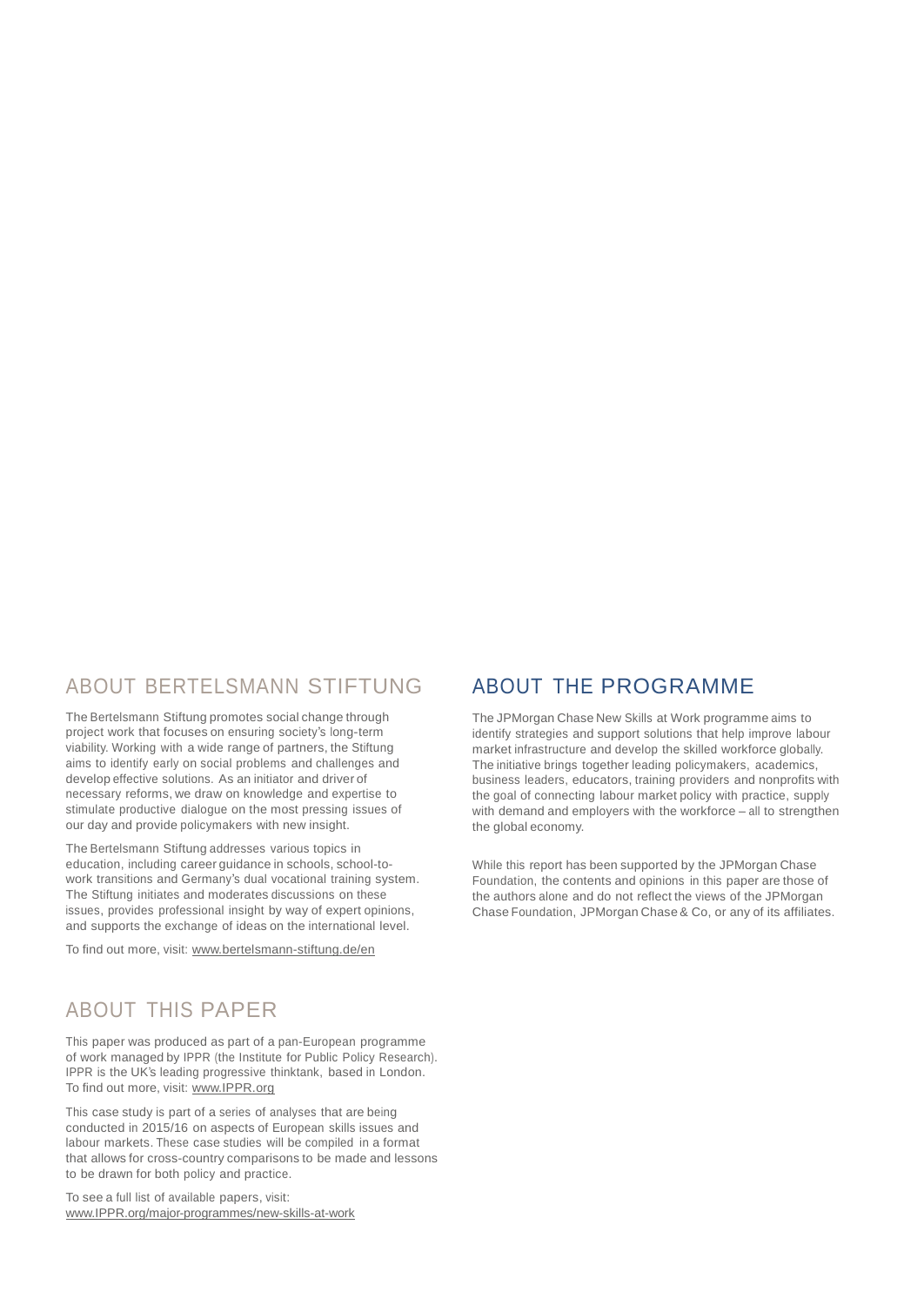### ABOUT BERTELSMANN STIFTUNG

The Bertelsmann Stiftung promotes social change through project work that focuses on ensuring society's long-term viability. Working with a wide range of partners, the Stiftung aims to identify early on social problems and challenges and develop effective solutions. As an initiator and driver of necessary reforms, we draw on knowledge and expertise to stimulate productive dialogue on the most pressing issues of our day and provide policymakers with new insight.

The Bertelsmann Stiftung addresses various topics in education, including career guidance in schools, school-towork transitions and Germany's dual vocational training system. The Stiftung initiates and moderates discussions on these issues, provides professional insight by way of expert opinions, and supports the exchange of ideas on the international level.

To find out more, visit: [www.bertelsmann-stiftung.de/en](http://www.bertelsmann-stiftung.de/en)

## ABOUT THIS PAPER

This paper was produced as part of a pan-European programme of work managed by IPPR (the Institute for Public Policy Research). IPPR is the UK's leading progressive thinktank, based in London. To find out more, visit: [www.IPPR.org](http://www.ippr.org/)

This case study is part of a series of analyses that are being conducted in 2015/16 on aspects of European skills issues and labour markets. These case studies will be compiled in a format that allows for cross-country comparisons to be made and lessons to be drawn for both policy and practice.

To see a full list of available papers, visit: [www.IPPR.org/major-programmes/new-skills-at-work](http://www.ippr.org/major-programmes/new-skills-at-work)

## ABOUT THE PROGRAMME

The JPMorgan Chase New Skills at Work programme aims to identify strategies and support solutions that help improve labour market infrastructure and develop the skilled workforce globally. The initiative brings together leading policymakers, academics, business leaders, educators, training providers and nonprofits with the goal of connecting labour market policy with practice, supply with demand and employers with the workforce – all to strengthen the global economy.

While this report has been supported by the JPMorgan Chase Foundation, the contents and opinions in this paper are those of the authors alone and do not reflect the views of the JPMorgan Chase Foundation, JPMorgan Chase & Co, or any of its affiliates.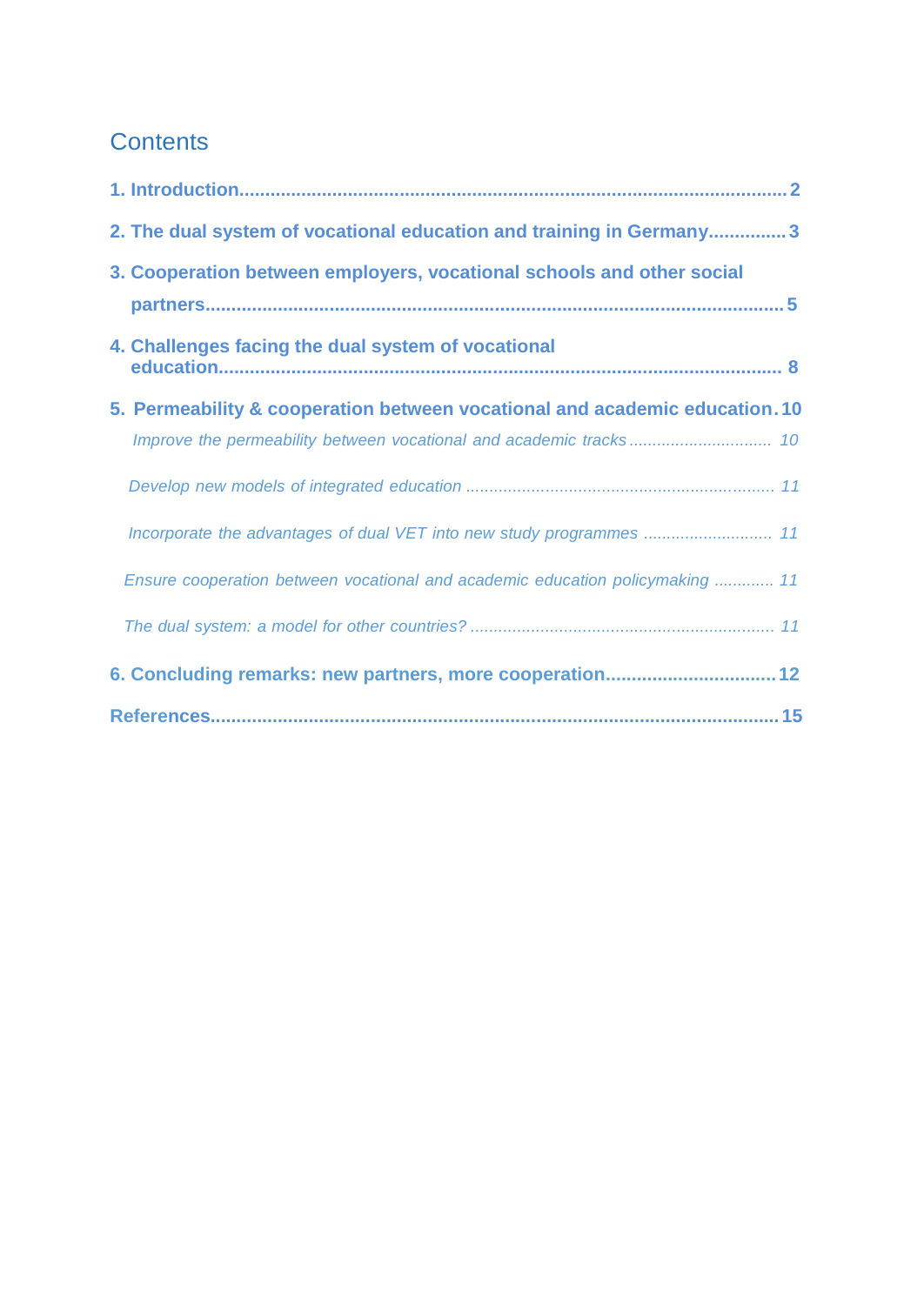## **Contents**

| 2. The dual system of vocational education and training in Germany3           |  |
|-------------------------------------------------------------------------------|--|
| 3. Cooperation between employers, vocational schools and other social         |  |
| 4. Challenges facing the dual system of vocational                            |  |
| 5. Permeability & cooperation between vocational and academic education. 10   |  |
|                                                                               |  |
|                                                                               |  |
| Incorporate the advantages of dual VET into new study programmes  11          |  |
| Ensure cooperation between vocational and academic education policymaking  11 |  |
|                                                                               |  |
| 6. Concluding remarks: new partners, more cooperation 12                      |  |
|                                                                               |  |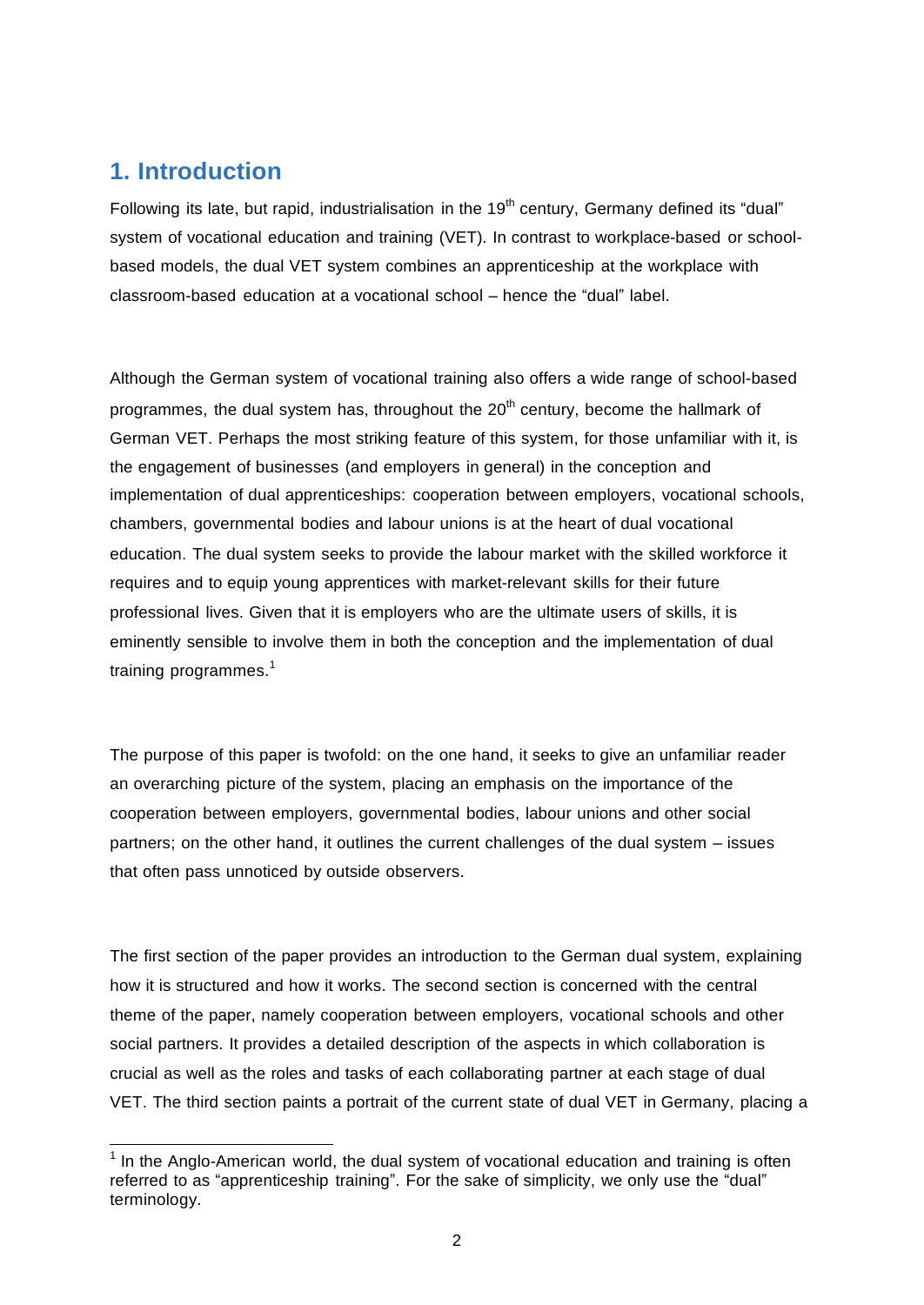### **1. Introduction**

Following its late, but rapid, industrialisation in the 19<sup>th</sup> century, Germany defined its "dual" system of vocational education and training (VET). In contrast to workplace-based or schoolbased models, the dual VET system combines an apprenticeship at the workplace with classroom-based education at a vocational school – hence the "dual" label.

Although the German system of vocational training also offers a wide range of school-based programmes, the dual system has, throughout the 20<sup>th</sup> century, become the hallmark of German VET. Perhaps the most striking feature of this system, for those unfamiliar with it, is the engagement of businesses (and employers in general) in the conception and implementation of dual apprenticeships: cooperation between employers, vocational schools, chambers, governmental bodies and labour unions is at the heart of dual vocational education. The dual system seeks to provide the labour market with the skilled workforce it requires and to equip young apprentices with market-relevant skills for their future professional lives. Given that it is employers who are the ultimate users of skills, it is eminently sensible to involve them in both the conception and the implementation of dual training programmes.<sup>1</sup>

The purpose of this paper is twofold: on the one hand, it seeks to give an unfamiliar reader an overarching picture of the system, placing an emphasis on the importance of the cooperation between employers, governmental bodies, labour unions and other social partners; on the other hand, it outlines the current challenges of the dual system – issues that often pass unnoticed by outside observers.

The first section of the paper provides an introduction to the German dual system, explaining how it is structured and how it works. The second section is concerned with the central theme of the paper, namely cooperation between employers, vocational schools and other social partners. It provides a detailed description of the aspects in which collaboration is crucial as well as the roles and tasks of each collaborating partner at each stage of dual VET. The third section paints a portrait of the current state of dual VET in Germany, placing a

 $1$  In the Anglo-American world, the dual system of vocational education and training is often referred to as "apprenticeship training". For the sake of simplicity, we only use the "dual" terminology.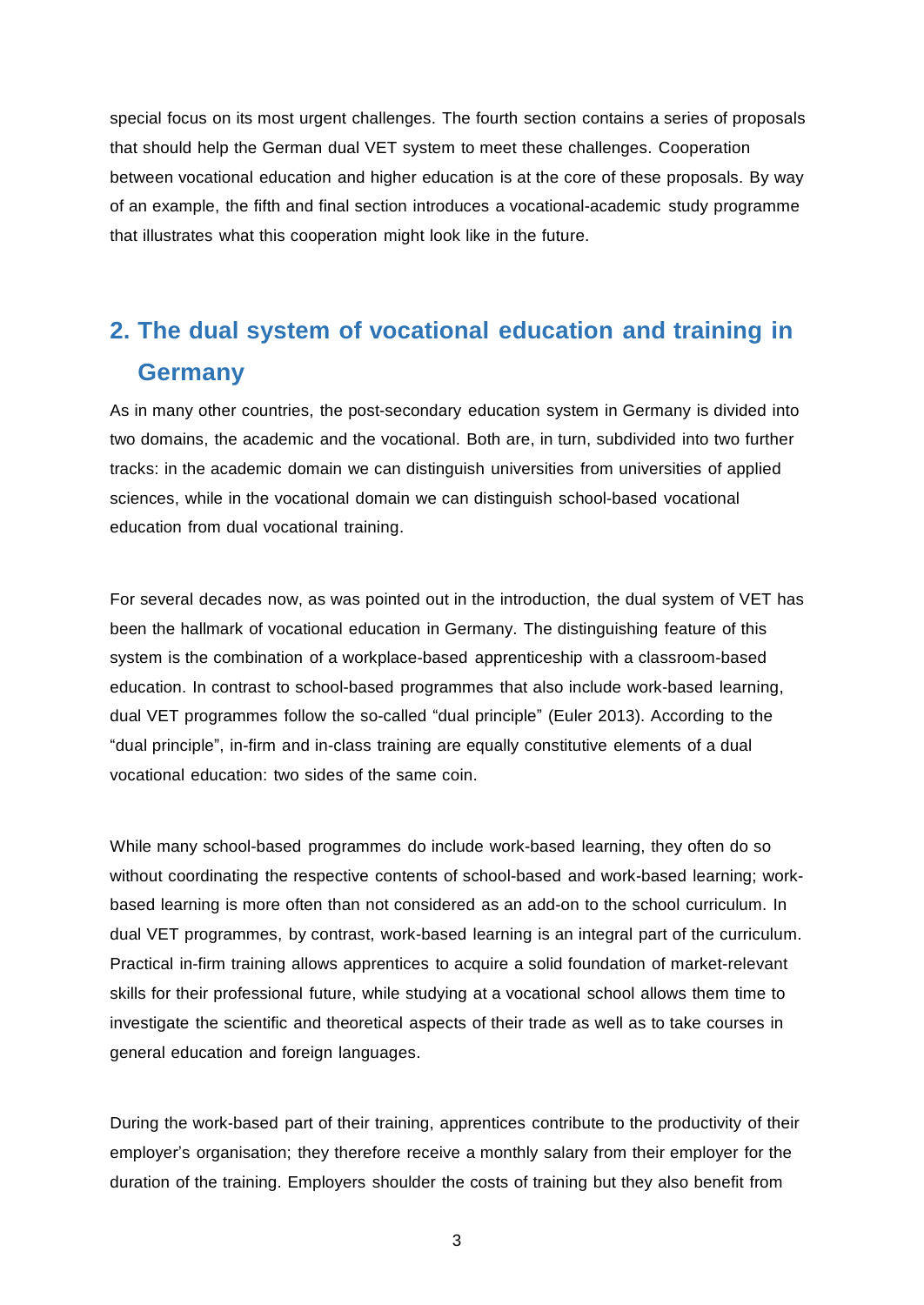special focus on its most urgent challenges. The fourth section contains a series of proposals that should help the German dual VET system to meet these challenges. Cooperation between vocational education and higher education is at the core of these proposals. By way of an example, the fifth and final section introduces a vocational-academic study programme that illustrates what this cooperation might look like in the future.

# **2. The dual system of vocational education and training in Germany**

As in many other countries, the post-secondary education system in Germany is divided into two domains, the academic and the vocational. Both are, in turn, subdivided into two further tracks: in the academic domain we can distinguish universities from universities of applied sciences, while in the vocational domain we can distinguish school-based vocational education from dual vocational training.

For several decades now, as was pointed out in the introduction, the dual system of VET has been the hallmark of vocational education in Germany. The distinguishing feature of this system is the combination of a workplace-based apprenticeship with a classroom-based education. In contrast to school-based programmes that also include work-based learning, dual VET programmes follow the so-called "dual principle" (Euler 2013). According to the "dual principle", in-firm and in-class training are equally constitutive elements of a dual vocational education: two sides of the same coin.

While many school-based programmes do include work-based learning, they often do so without coordinating the respective contents of school-based and work-based learning; workbased learning is more often than not considered as an add-on to the school curriculum. In dual VET programmes, by contrast, work-based learning is an integral part of the curriculum. Practical in-firm training allows apprentices to acquire a solid foundation of market-relevant skills for their professional future, while studying at a vocational school allows them time to investigate the scientific and theoretical aspects of their trade as well as to take courses in general education and foreign languages.

During the work-based part of their training, apprentices contribute to the productivity of their employer's organisation; they therefore receive a monthly salary from their employer for the duration of the training. Employers shoulder the costs of training but they also benefit from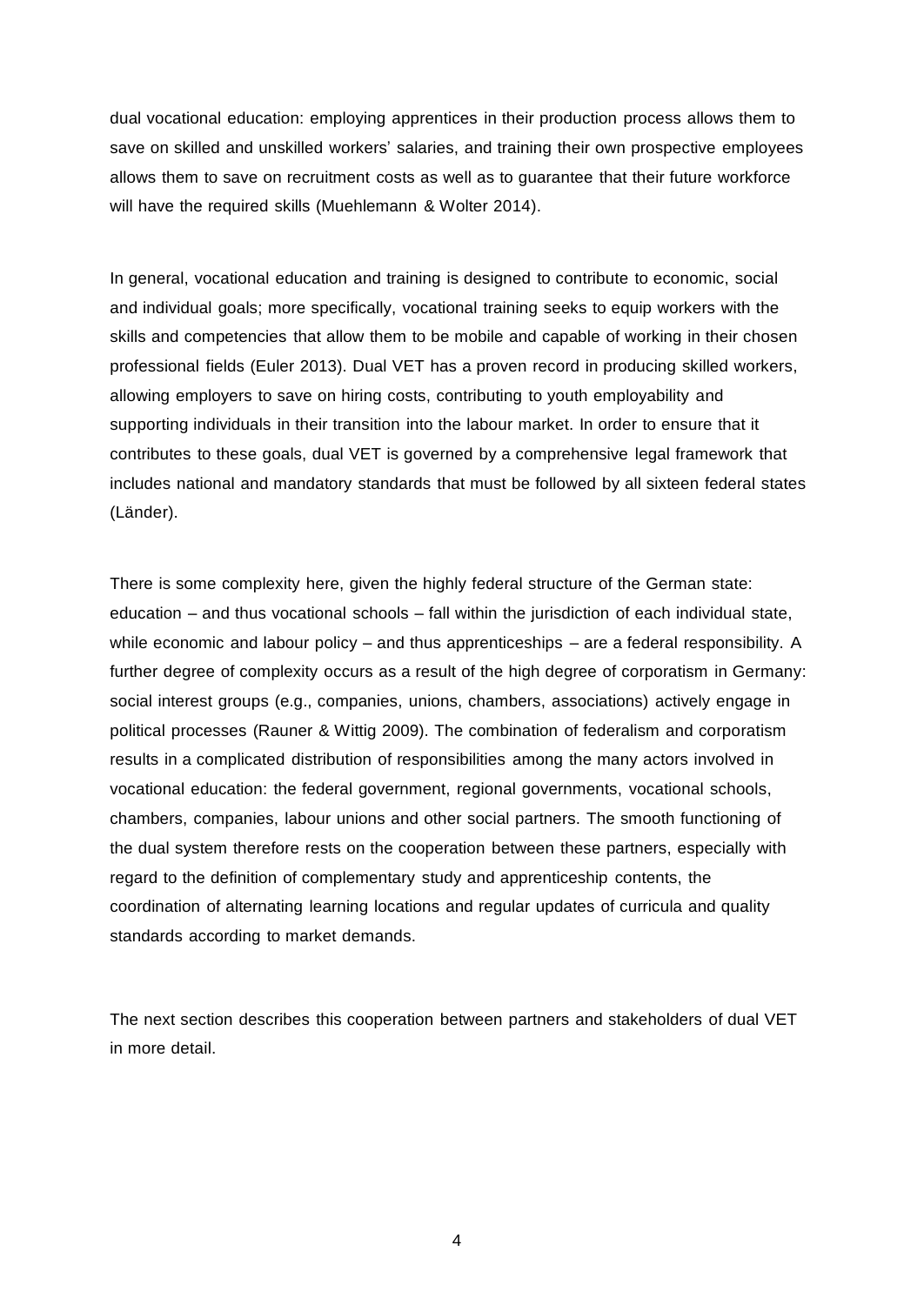dual vocational education: employing apprentices in their production process allows them to save on skilled and unskilled workers' salaries, and training their own prospective employees allows them to save on recruitment costs as well as to guarantee that their future workforce will have the required skills (Muehlemann & Wolter 2014).

In general, vocational education and training is designed to contribute to economic, social and individual goals; more specifically, vocational training seeks to equip workers with the skills and competencies that allow them to be mobile and capable of working in their chosen professional fields (Euler 2013). Dual VET has a proven record in producing skilled workers, allowing employers to save on hiring costs, contributing to youth employability and supporting individuals in their transition into the labour market. In order to ensure that it contributes to these goals, dual VET is governed by a comprehensive legal framework that includes national and mandatory standards that must be followed by all sixteen federal states (Länder).

There is some complexity here, given the highly federal structure of the German state: education – and thus vocational schools – fall within the jurisdiction of each individual state, while economic and labour policy – and thus apprenticeships – are a federal responsibility. A further degree of complexity occurs as a result of the high degree of corporatism in Germany: social interest groups (e.g., companies, unions, chambers, associations) actively engage in political processes (Rauner & Wittig 2009). The combination of federalism and corporatism results in a complicated distribution of responsibilities among the many actors involved in vocational education: the federal government, regional governments, vocational schools, chambers, companies, labour unions and other social partners. The smooth functioning of the dual system therefore rests on the cooperation between these partners, especially with regard to the definition of complementary study and apprenticeship contents, the coordination of alternating learning locations and regular updates of curricula and quality standards according to market demands.

The next section describes this cooperation between partners and stakeholders of dual VET in more detail.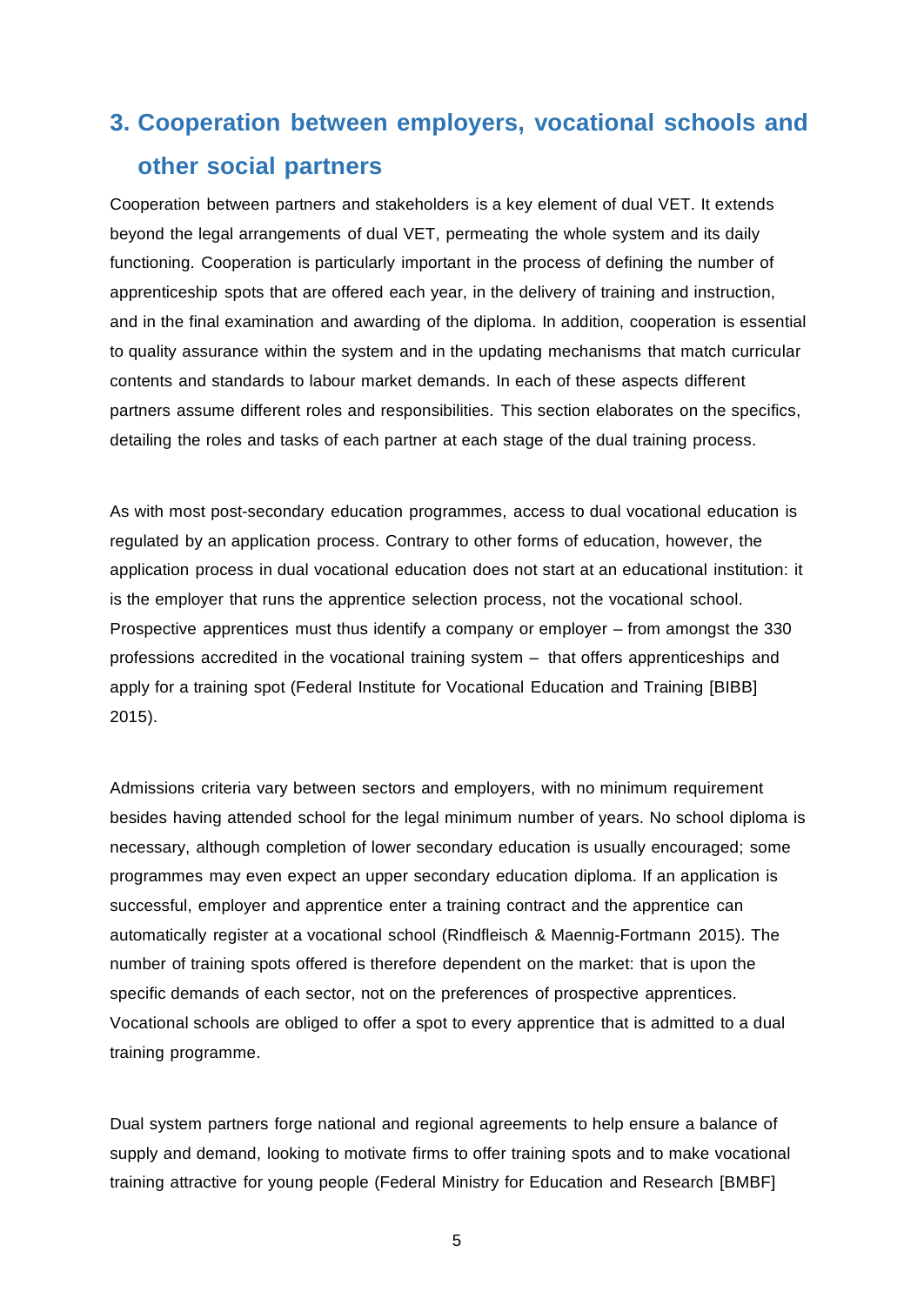# **3. Cooperation between employers, vocational schools and other social partners**

Cooperation between partners and stakeholders is a key element of dual VET. It extends beyond the legal arrangements of dual VET, permeating the whole system and its daily functioning. Cooperation is particularly important in the process of defining the number of apprenticeship spots that are offered each year, in the delivery of training and instruction, and in the final examination and awarding of the diploma. In addition, cooperation is essential to quality assurance within the system and in the updating mechanisms that match curricular contents and standards to labour market demands. In each of these aspects different partners assume different roles and responsibilities. This section elaborates on the specifics, detailing the roles and tasks of each partner at each stage of the dual training process.

As with most post-secondary education programmes, access to dual vocational education is regulated by an application process. Contrary to other forms of education, however, the application process in dual vocational education does not start at an educational institution: it is the employer that runs the apprentice selection process, not the vocational school. Prospective apprentices must thus identify a company or employer – from amongst the 330 professions accredited in the vocational training system – that offers apprenticeships and apply for a training spot (Federal Institute for Vocational Education and Training [BIBB] 2015).

Admissions criteria vary between sectors and employers, with no minimum requirement besides having attended school for the legal minimum number of years. No school diploma is necessary, although completion of lower secondary education is usually encouraged; some programmes may even expect an upper secondary education diploma. If an application is successful, employer and apprentice enter a training contract and the apprentice can automatically register at a vocational school (Rindfleisch & Maennig-Fortmann 2015). The number of training spots offered is therefore dependent on the market: that is upon the specific demands of each sector, not on the preferences of prospective apprentices. Vocational schools are obliged to offer a spot to every apprentice that is admitted to a dual training programme.

Dual system partners forge national and regional agreements to help ensure a balance of supply and demand, looking to motivate firms to offer training spots and to make vocational training attractive for young people (Federal Ministry for Education and Research [BMBF]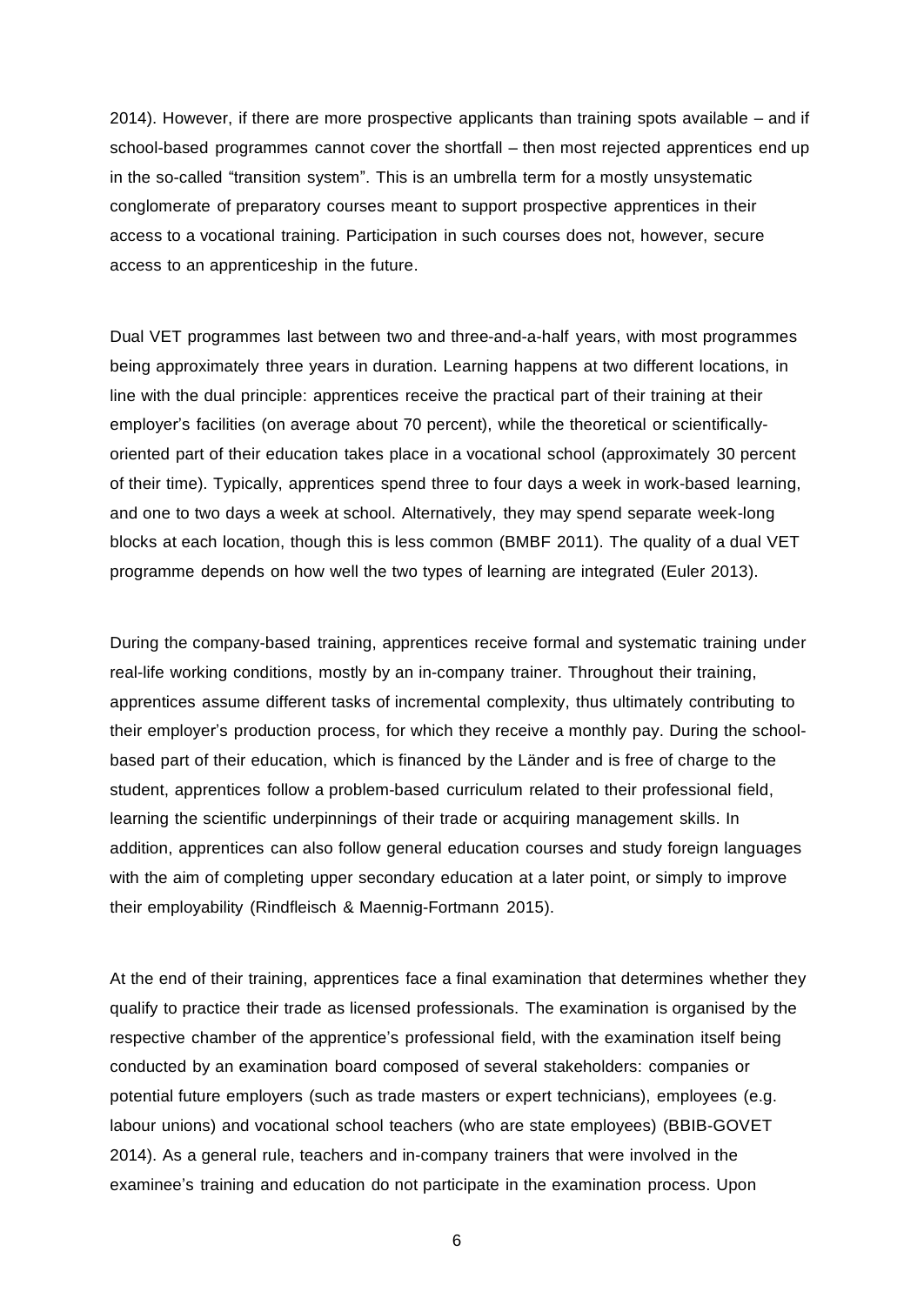2014). However, if there are more prospective applicants than training spots available – and if school-based programmes cannot cover the shortfall – then most rejected apprentices end up in the so-called "transition system". This is an umbrella term for a mostly unsystematic conglomerate of preparatory courses meant to support prospective apprentices in their access to a vocational training. Participation in such courses does not, however, secure access to an apprenticeship in the future.

Dual VET programmes last between two and three-and-a-half years, with most programmes being approximately three years in duration. Learning happens at two different locations, in line with the dual principle: apprentices receive the practical part of their training at their employer's facilities (on average about 70 percent), while the theoretical or scientificallyoriented part of their education takes place in a vocational school (approximately 30 percent of their time). Typically, apprentices spend three to four days a week in work-based learning, and one to two days a week at school. Alternatively, they may spend separate week-long blocks at each location, though this is less common (BMBF 2011). The quality of a dual VET programme depends on how well the two types of learning are integrated (Euler 2013).

During the company-based training, apprentices receive formal and systematic training under real-life working conditions, mostly by an in-company trainer. Throughout their training, apprentices assume different tasks of incremental complexity, thus ultimately contributing to their employer's production process, for which they receive a monthly pay. During the schoolbased part of their education, which is financed by the Länder and is free of charge to the student, apprentices follow a problem-based curriculum related to their professional field, learning the scientific underpinnings of their trade or acquiring management skills. In addition, apprentices can also follow general education courses and study foreign languages with the aim of completing upper secondary education at a later point, or simply to improve their employability (Rindfleisch & Maennig-Fortmann 2015).

At the end of their training, apprentices face a final examination that determines whether they qualify to practice their trade as licensed professionals. The examination is organised by the respective chamber of the apprentice's professional field, with the examination itself being conducted by an examination board composed of several stakeholders: companies or potential future employers (such as trade masters or expert technicians), employees (e.g. labour unions) and vocational school teachers (who are state employees) (BBIB-GOVET 2014). As a general rule, teachers and in-company trainers that were involved in the examinee's training and education do not participate in the examination process. Upon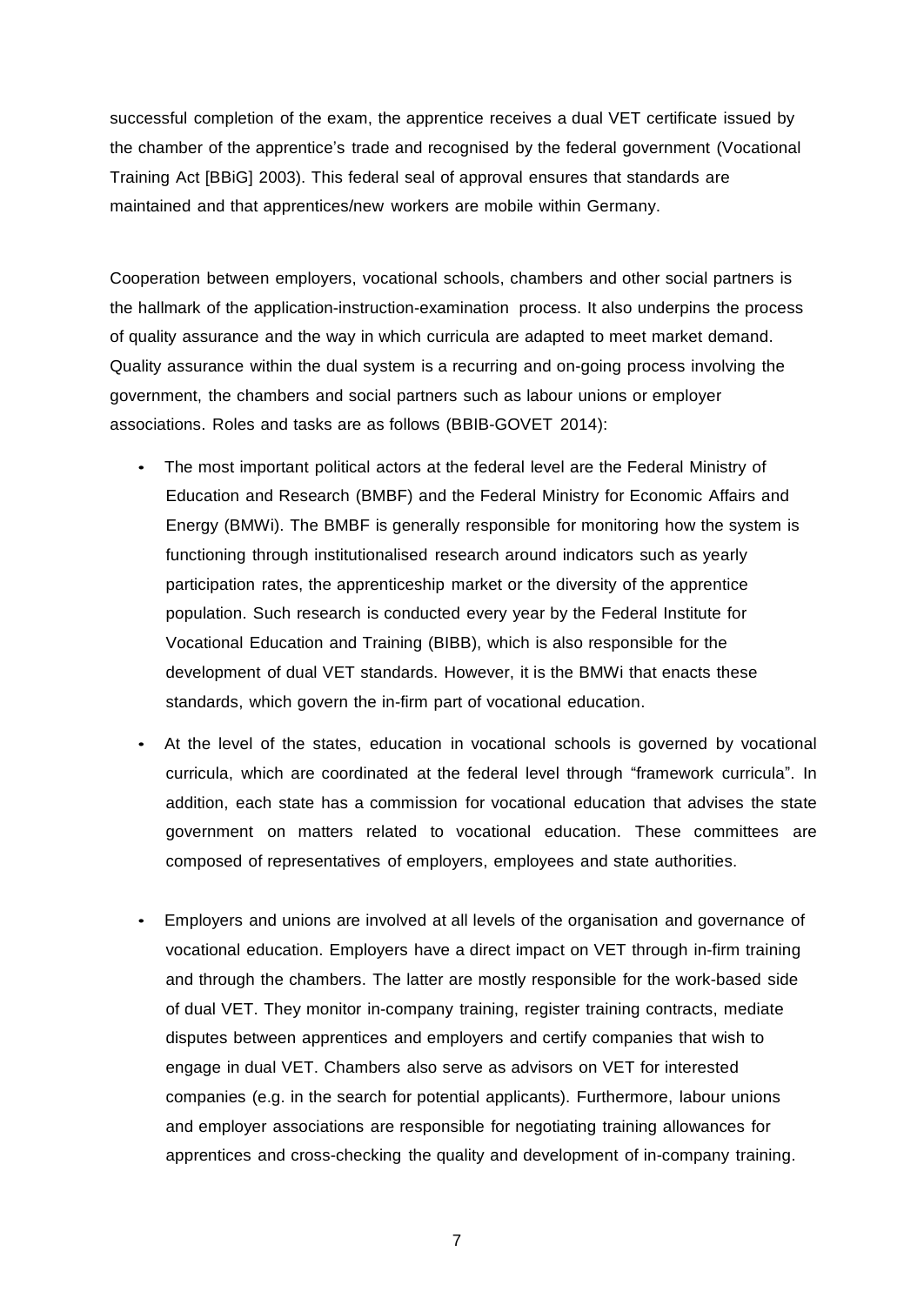successful completion of the exam, the apprentice receives a dual VET certificate issued by the chamber of the apprentice's trade and recognised by the federal government (Vocational Training Act [BBiG] 2003). This federal seal of approval ensures that standards are maintained and that apprentices/new workers are mobile within Germany.

Cooperation between employers, vocational schools, chambers and other social partners is the hallmark of the application-instruction-examination process. It also underpins the process of quality assurance and the way in which curricula are adapted to meet market demand. Quality assurance within the dual system is a recurring and on-going process involving the government, the chambers and social partners such as labour unions or employer associations. Roles and tasks are as follows (BBIB-GOVET 2014):

- The most important political actors at the federal level are the Federal Ministry of Education and Research (BMBF) and the Federal Ministry for Economic Affairs and Energy (BMWi). The BMBF is generally responsible for monitoring how the system is functioning through institutionalised research around indicators such as yearly participation rates, the apprenticeship market or the diversity of the apprentice population. Such research is conducted every year by the Federal Institute for Vocational Education and Training (BIBB), which is also responsible for the development of dual VET standards. However, it is the BMWi that enacts these standards, which govern the in-firm part of vocational education.
- At the level of the states, education in vocational schools is governed by vocational curricula, which are coordinated at the federal level through "framework curricula". In addition, each state has a commission for vocational education that advises the state government on matters related to vocational education. These committees are composed of representatives of employers, employees and state authorities.
- Employers and unions are involved at all levels of the organisation and governance of vocational education. Employers have a direct impact on VET through in-firm training and through the chambers. The latter are mostly responsible for the work-based side of dual VET. They monitor in-company training, register training contracts, mediate disputes between apprentices and employers and certify companies that wish to engage in dual VET. Chambers also serve as advisors on VET for interested companies (e.g. in the search for potential applicants). Furthermore, labour unions and employer associations are responsible for negotiating training allowances for apprentices and cross-checking the quality and development of in-company training.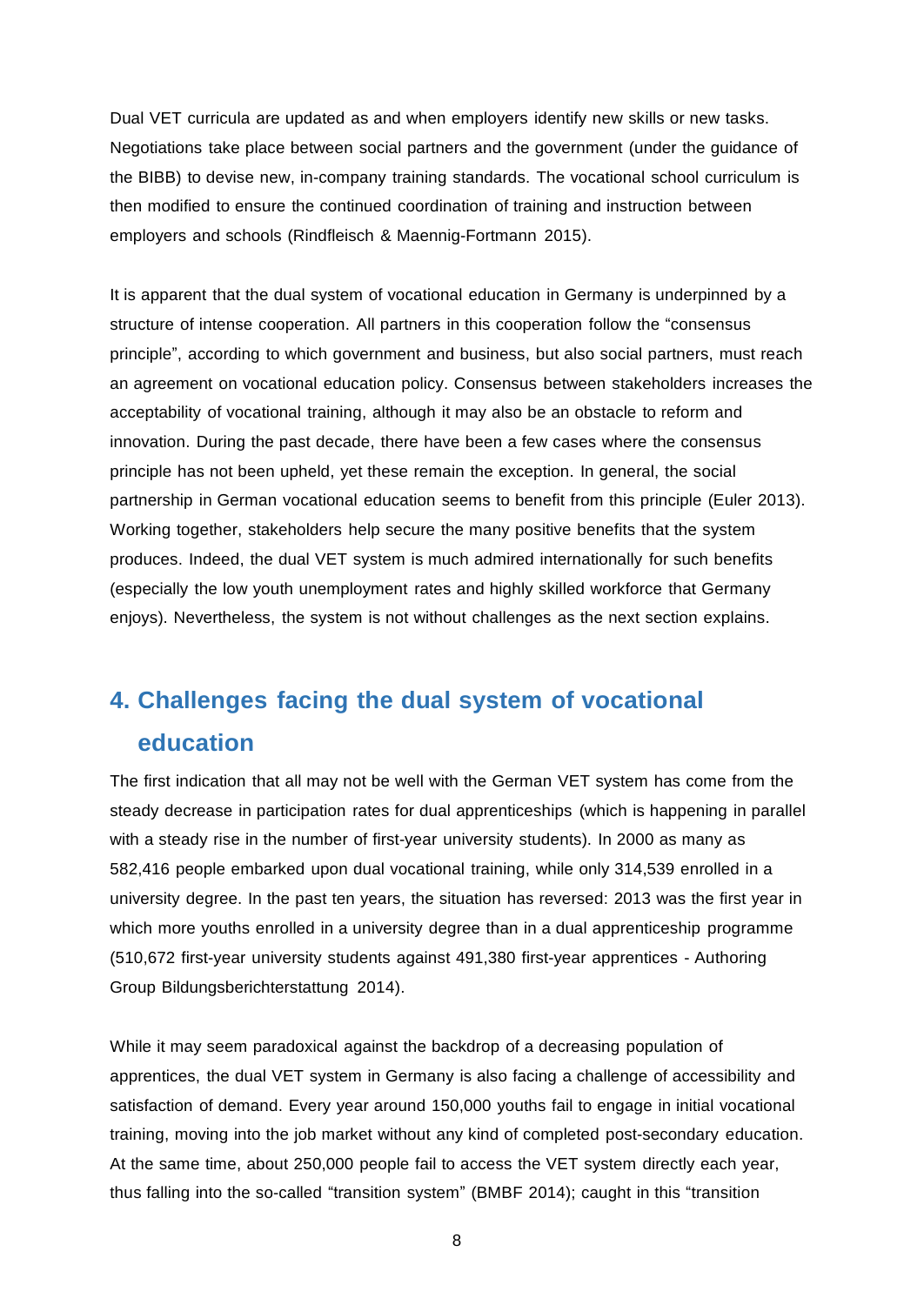Dual VET curricula are updated as and when employers identify new skills or new tasks. Negotiations take place between social partners and the government (under the guidance of the BIBB) to devise new, in-company training standards. The vocational school curriculum is then modified to ensure the continued coordination of training and instruction between employers and schools (Rindfleisch & Maennig-Fortmann 2015).

It is apparent that the dual system of vocational education in Germany is underpinned by a structure of intense cooperation. All partners in this cooperation follow the "consensus principle", according to which government and business, but also social partners, must reach an agreement on vocational education policy. Consensus between stakeholders increases the acceptability of vocational training, although it may also be an obstacle to reform and innovation. During the past decade, there have been a few cases where the consensus principle has not been upheld, yet these remain the exception. In general, the social partnership in German vocational education seems to benefit from this principle (Euler 2013). Working together, stakeholders help secure the many positive benefits that the system produces. Indeed, the dual VET system is much admired internationally for such benefits (especially the low youth unemployment rates and highly skilled workforce that Germany enjoys). Nevertheless, the system is not without challenges as the next section explains.

# **4. Challenges facing the dual system of vocational education**

The first indication that all may not be well with the German VET system has come from the steady decrease in participation rates for dual apprenticeships (which is happening in parallel with a steady rise in the number of first-year university students). In 2000 as many as 582,416 people embarked upon dual vocational training, while only 314,539 enrolled in a university degree. In the past ten years, the situation has reversed: 2013 was the first year in which more youths enrolled in a university degree than in a dual apprenticeship programme (510,672 first-year university students against 491,380 first-year apprentices - Authoring Group Bildungsberichterstattung 2014).

While it may seem paradoxical against the backdrop of a decreasing population of apprentices, the dual VET system in Germany is also facing a challenge of accessibility and satisfaction of demand. Every year around 150,000 youths fail to engage in initial vocational training, moving into the job market without any kind of completed post-secondary education. At the same time, about 250,000 people fail to access the VET system directly each year, thus falling into the so-called "transition system" (BMBF 2014); caught in this "transition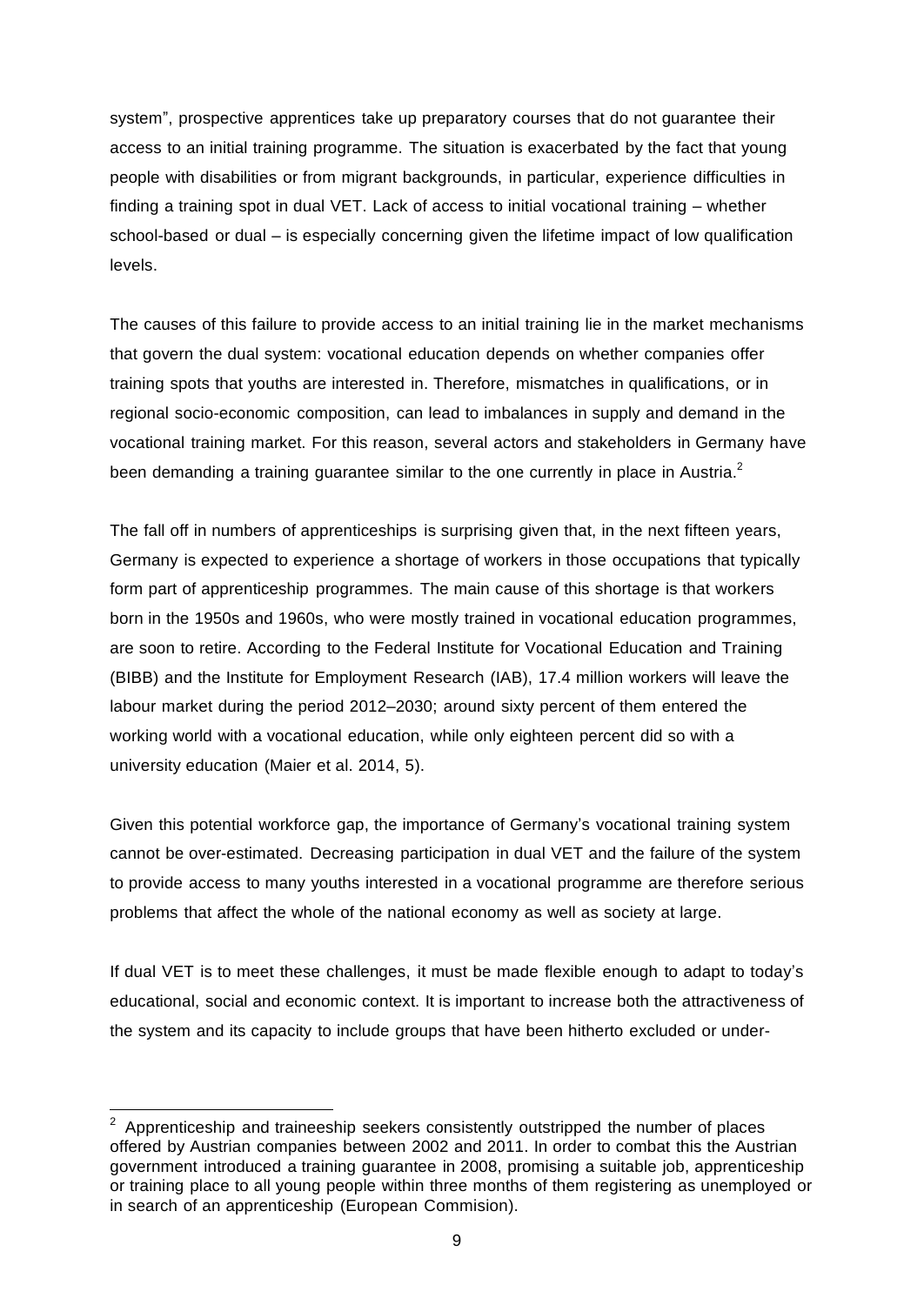system", prospective apprentices take up preparatory courses that do not guarantee their access to an initial training programme. The situation is exacerbated by the fact that young people with disabilities or from migrant backgrounds, in particular, experience difficulties in finding a training spot in dual VET. Lack of access to initial vocational training – whether school-based or dual – is especially concerning given the lifetime impact of low qualification levels.

The causes of this failure to provide access to an initial training lie in the market mechanisms that govern the dual system: vocational education depends on whether companies offer training spots that youths are interested in. Therefore, mismatches in qualifications, or in regional socio-economic composition, can lead to imbalances in supply and demand in the vocational training market. For this reason, several actors and stakeholders in Germany have been demanding a training guarantee similar to the one currently in place in Austria.<sup>2</sup>

The fall off in numbers of apprenticeships is surprising given that, in the next fifteen years, Germany is expected to experience a shortage of workers in those occupations that typically form part of apprenticeship programmes. The main cause of this shortage is that workers born in the 1950s and 1960s, who were mostly trained in vocational education programmes, are soon to retire. According to the Federal Institute for Vocational Education and Training (BIBB) and the Institute for Employment Research (IAB), 17.4 million workers will leave the labour market during the period 2012–2030; around sixty percent of them entered the working world with a vocational education, while only eighteen percent did so with a university education (Maier et al. 2014, 5).

Given this potential workforce gap, the importance of Germany's vocational training system cannot be over-estimated. Decreasing participation in dual VET and the failure of the system to provide access to many youths interested in a vocational programme are therefore serious problems that affect the whole of the national economy as well as society at large.

If dual VET is to meet these challenges, it must be made flexible enough to adapt to today's educational, social and economic context. It is important to increase both the attractiveness of the system and its capacity to include groups that have been hitherto excluded or under-

 $2$  Apprenticeship and traineeship seekers consistently outstripped the number of places offered by Austrian companies between 2002 and 2011. In order to combat this the Austrian government introduced a training guarantee in 2008, promising a suitable job, apprenticeship or training place to all young people within three months of them registering as unemployed or in search of an apprenticeship (European Commision).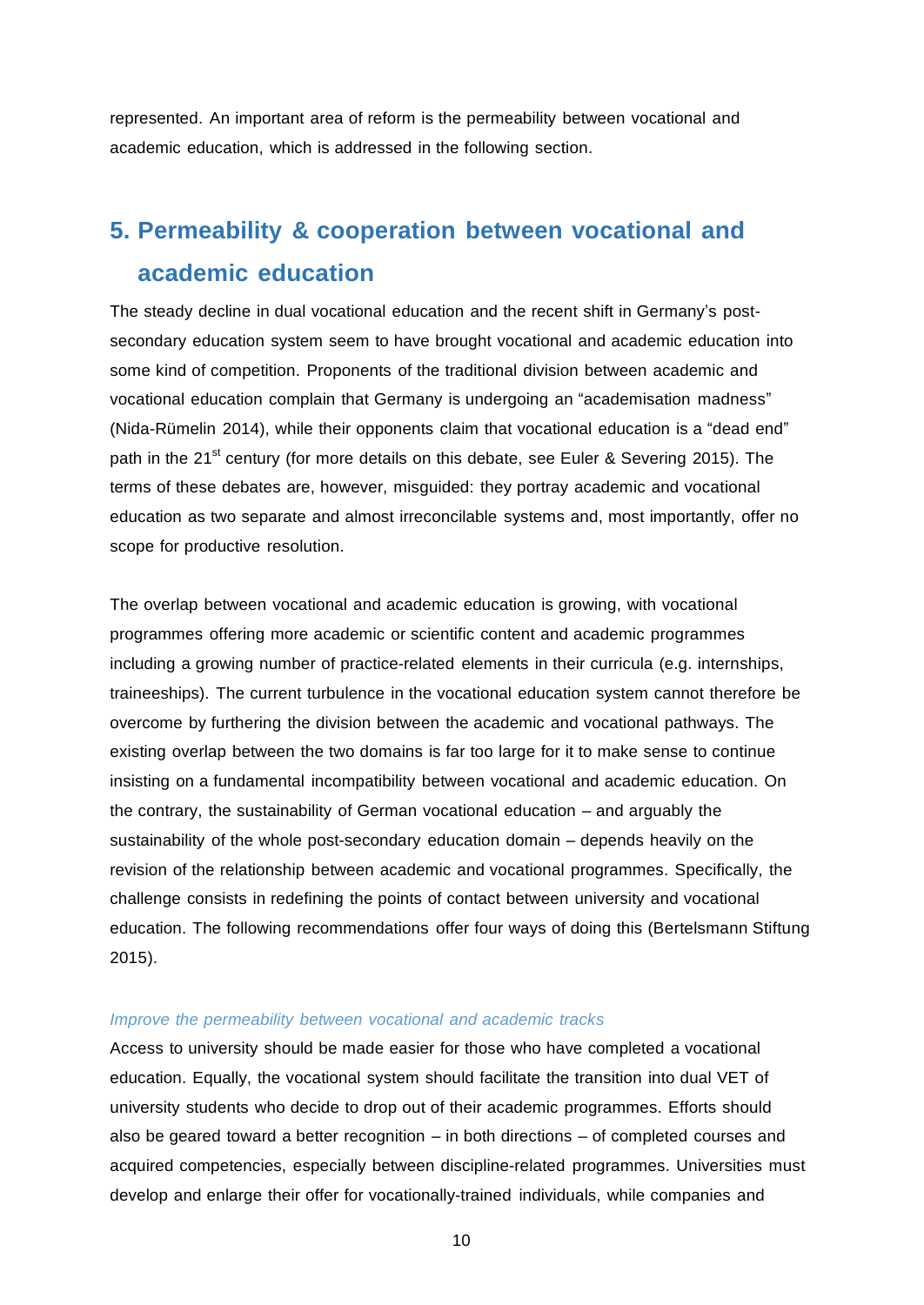represented. An important area of reform is the permeability between vocational and academic education, which is addressed in the following section.

# **5. Permeability & cooperation between vocational and academic education**

The steady decline in dual vocational education and the recent shift in Germany's postsecondary education system seem to have brought vocational and academic education into some kind of competition. Proponents of the traditional division between academic and vocational education complain that Germany is undergoing an "academisation madness" (Nida-Rümelin 2014), while their opponents claim that vocational education is a "dead end" path in the 21<sup>st</sup> century (for more details on this debate, see Euler & Severing 2015). The terms of these debates are, however, misguided: they portray academic and vocational education as two separate and almost irreconcilable systems and, most importantly, offer no scope for productive resolution.

The overlap between vocational and academic education is growing, with vocational programmes offering more academic or scientific content and academic programmes including a growing number of practice-related elements in their curricula (e.g. internships, traineeships). The current turbulence in the vocational education system cannot therefore be overcome by furthering the division between the academic and vocational pathways. The existing overlap between the two domains is far too large for it to make sense to continue insisting on a fundamental incompatibility between vocational and academic education. On the contrary, the sustainability of German vocational education – and arguably the sustainability of the whole post-secondary education domain – depends heavily on the revision of the relationship between academic and vocational programmes. Specifically, the challenge consists in redefining the points of contact between university and vocational education. The following recommendations offer four ways of doing this (Bertelsmann Stiftung 2015).

#### *Improve the permeability between vocational and academic tracks*

Access to university should be made easier for those who have completed a vocational education. Equally, the vocational system should facilitate the transition into dual VET of university students who decide to drop out of their academic programmes. Efforts should also be geared toward a better recognition – in both directions – of completed courses and acquired competencies, especially between discipline-related programmes. Universities must develop and enlarge their offer for vocationally-trained individuals, while companies and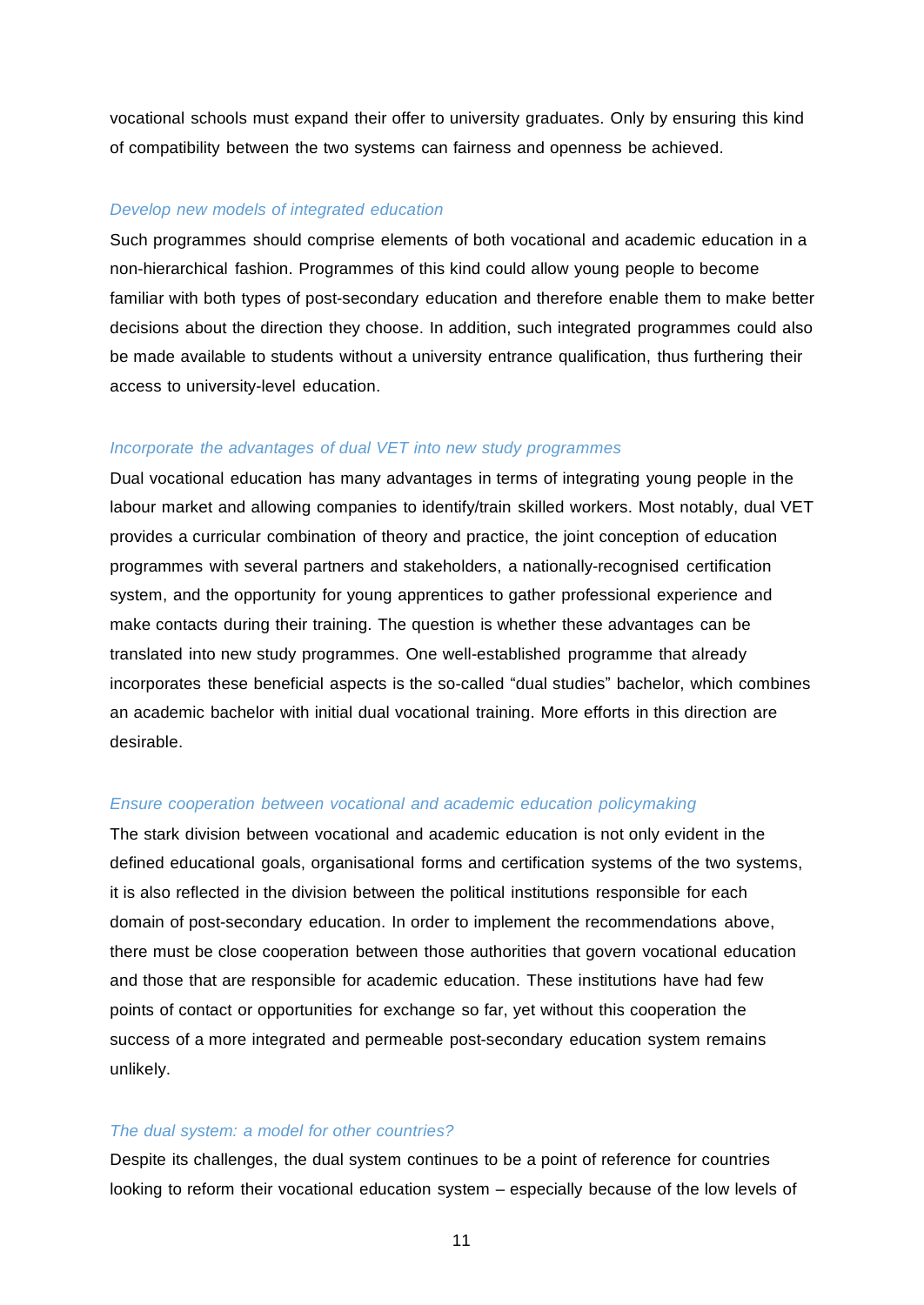vocational schools must expand their offer to university graduates. Only by ensuring this kind of compatibility between the two systems can fairness and openness be achieved.

#### *Develop new models of integrated education*

Such programmes should comprise elements of both vocational and academic education in a non-hierarchical fashion. Programmes of this kind could allow young people to become familiar with both types of post-secondary education and therefore enable them to make better decisions about the direction they choose. In addition, such integrated programmes could also be made available to students without a university entrance qualification, thus furthering their access to university-level education.

#### *Incorporate the advantages of dual VET into new study programmes*

Dual vocational education has many advantages in terms of integrating young people in the labour market and allowing companies to identify/train skilled workers. Most notably, dual VET provides a curricular combination of theory and practice, the joint conception of education programmes with several partners and stakeholders, a nationally-recognised certification system, and the opportunity for young apprentices to gather professional experience and make contacts during their training. The question is whether these advantages can be translated into new study programmes. One well-established programme that already incorporates these beneficial aspects is the so-called "dual studies" bachelor, which combines an academic bachelor with initial dual vocational training. More efforts in this direction are desirable.

#### *Ensure cooperation between vocational and academic education policymaking*

The stark division between vocational and academic education is not only evident in the defined educational goals, organisational forms and certification systems of the two systems, it is also reflected in the division between the political institutions responsible for each domain of post-secondary education. In order to implement the recommendations above, there must be close cooperation between those authorities that govern vocational education and those that are responsible for academic education. These institutions have had few points of contact or opportunities for exchange so far, yet without this cooperation the success of a more integrated and permeable post-secondary education system remains unlikely.

#### *The dual system: a model for other countries?*

Despite its challenges, the dual system continues to be a point of reference for countries looking to reform their vocational education system – especially because of the low levels of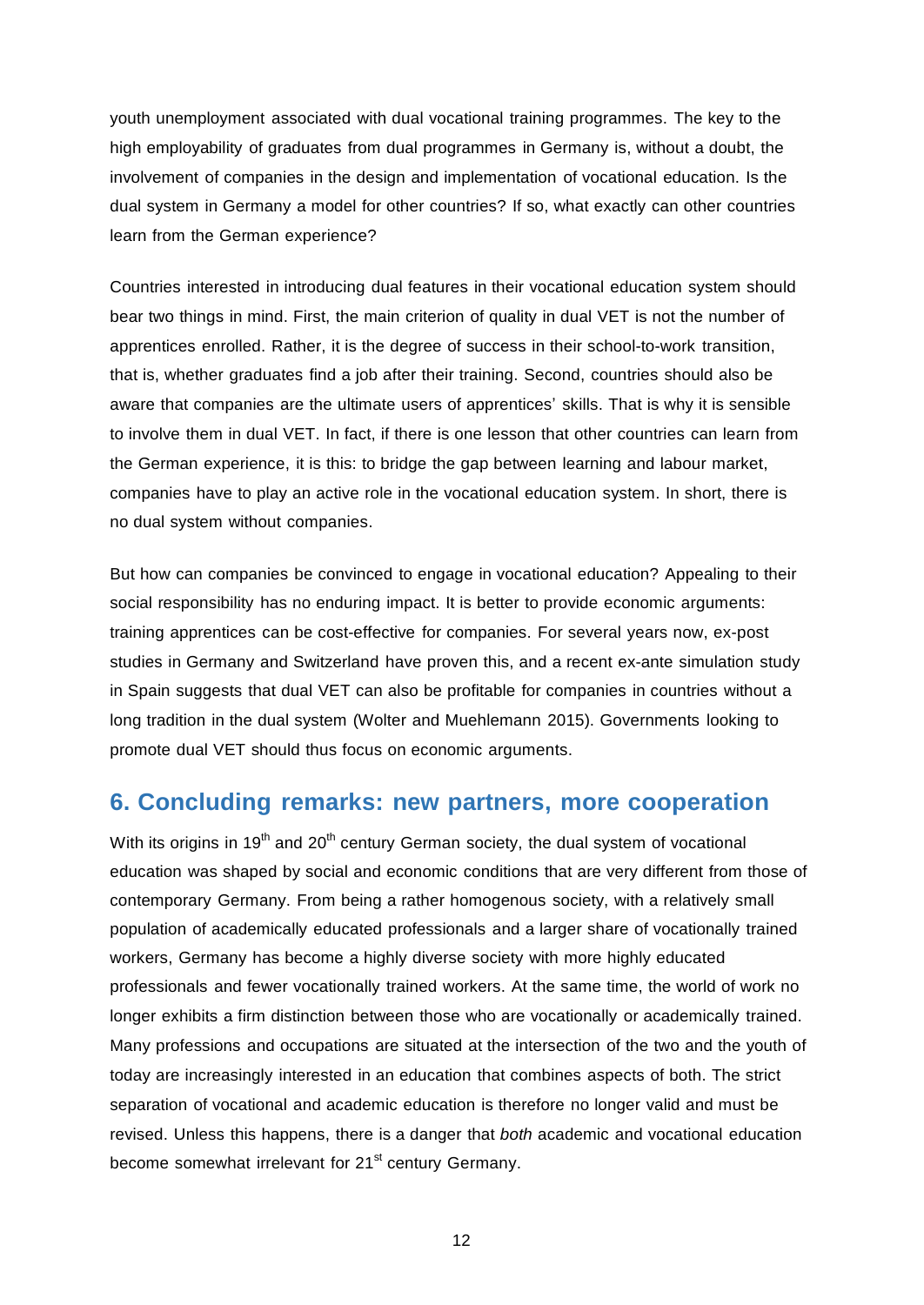youth unemployment associated with dual vocational training programmes. The key to the high employability of graduates from dual programmes in Germany is, without a doubt, the involvement of companies in the design and implementation of vocational education. Is the dual system in Germany a model for other countries? If so, what exactly can other countries learn from the German experience?

Countries interested in introducing dual features in their vocational education system should bear two things in mind. First, the main criterion of quality in dual VET is not the number of apprentices enrolled. Rather, it is the degree of success in their school-to-work transition, that is, whether graduates find a job after their training. Second, countries should also be aware that companies are the ultimate users of apprentices' skills. That is why it is sensible to involve them in dual VET. In fact, if there is one lesson that other countries can learn from the German experience, it is this: to bridge the gap between learning and labour market, companies have to play an active role in the vocational education system. In short, there is no dual system without companies.

But how can companies be convinced to engage in vocational education? Appealing to their social responsibility has no enduring impact. It is better to provide economic arguments: training apprentices can be cost-effective for companies. For several years now, ex-post studies in Germany and Switzerland have proven this, and a recent ex-ante simulation study in Spain suggests that dual VET can also be profitable for companies in countries without a long tradition in the dual system (Wolter and Muehlemann 2015). Governments looking to promote dual VET should thus focus on economic arguments.

### **6. Concluding remarks: new partners, more cooperation**

With its origins in 19<sup>th</sup> and 20<sup>th</sup> century German society, the dual system of vocational education was shaped by social and economic conditions that are very different from those of contemporary Germany. From being a rather homogenous society, with a relatively small population of academically educated professionals and a larger share of vocationally trained workers, Germany has become a highly diverse society with more highly educated professionals and fewer vocationally trained workers. At the same time, the world of work no longer exhibits a firm distinction between those who are vocationally or academically trained. Many professions and occupations are situated at the intersection of the two and the youth of today are increasingly interested in an education that combines aspects of both. The strict separation of vocational and academic education is therefore no longer valid and must be revised. Unless this happens, there is a danger that *both* academic and vocational education become somewhat irrelevant for 21<sup>st</sup> century Germany.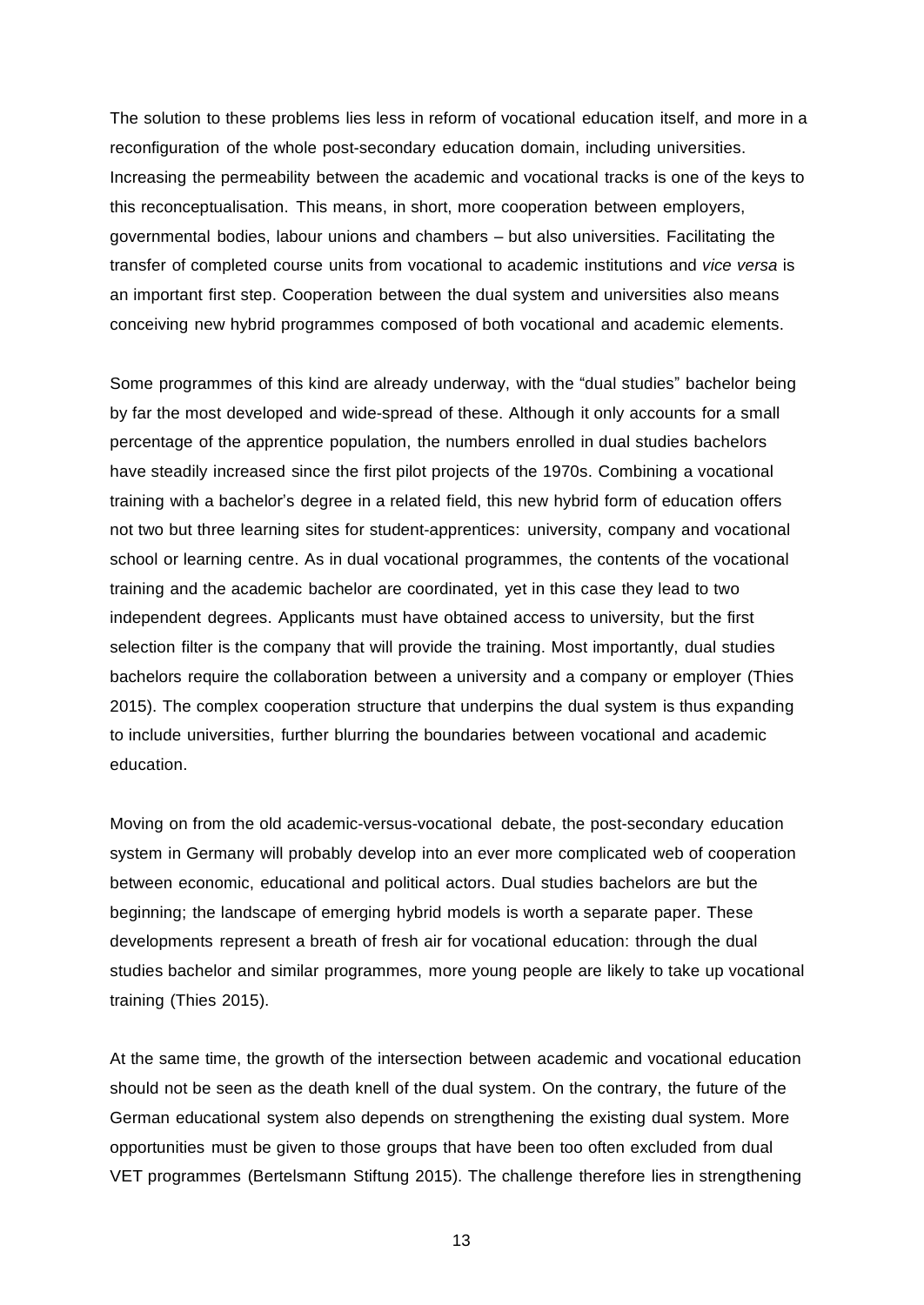The solution to these problems lies less in reform of vocational education itself, and more in a reconfiguration of the whole post-secondary education domain, including universities. Increasing the permeability between the academic and vocational tracks is one of the keys to this reconceptualisation. This means, in short, more cooperation between employers, governmental bodies, labour unions and chambers – but also universities. Facilitating the transfer of completed course units from vocational to academic institutions and *vice versa* is an important first step. Cooperation between the dual system and universities also means conceiving new hybrid programmes composed of both vocational and academic elements.

Some programmes of this kind are already underway, with the "dual studies" bachelor being by far the most developed and wide-spread of these. Although it only accounts for a small percentage of the apprentice population, the numbers enrolled in dual studies bachelors have steadily increased since the first pilot projects of the 1970s. Combining a vocational training with a bachelor's degree in a related field, this new hybrid form of education offers not two but three learning sites for student-apprentices: university, company and vocational school or learning centre. As in dual vocational programmes, the contents of the vocational training and the academic bachelor are coordinated, yet in this case they lead to two independent degrees. Applicants must have obtained access to university, but the first selection filter is the company that will provide the training. Most importantly, dual studies bachelors require the collaboration between a university and a company or employer (Thies 2015). The complex cooperation structure that underpins the dual system is thus expanding to include universities, further blurring the boundaries between vocational and academic education.

Moving on from the old academic-versus-vocational debate, the post-secondary education system in Germany will probably develop into an ever more complicated web of cooperation between economic, educational and political actors. Dual studies bachelors are but the beginning; the landscape of emerging hybrid models is worth a separate paper. These developments represent a breath of fresh air for vocational education: through the dual studies bachelor and similar programmes, more young people are likely to take up vocational training (Thies 2015).

At the same time, the growth of the intersection between academic and vocational education should not be seen as the death knell of the dual system. On the contrary, the future of the German educational system also depends on strengthening the existing dual system. More opportunities must be given to those groups that have been too often excluded from dual VET programmes (Bertelsmann Stiftung 2015). The challenge therefore lies in strengthening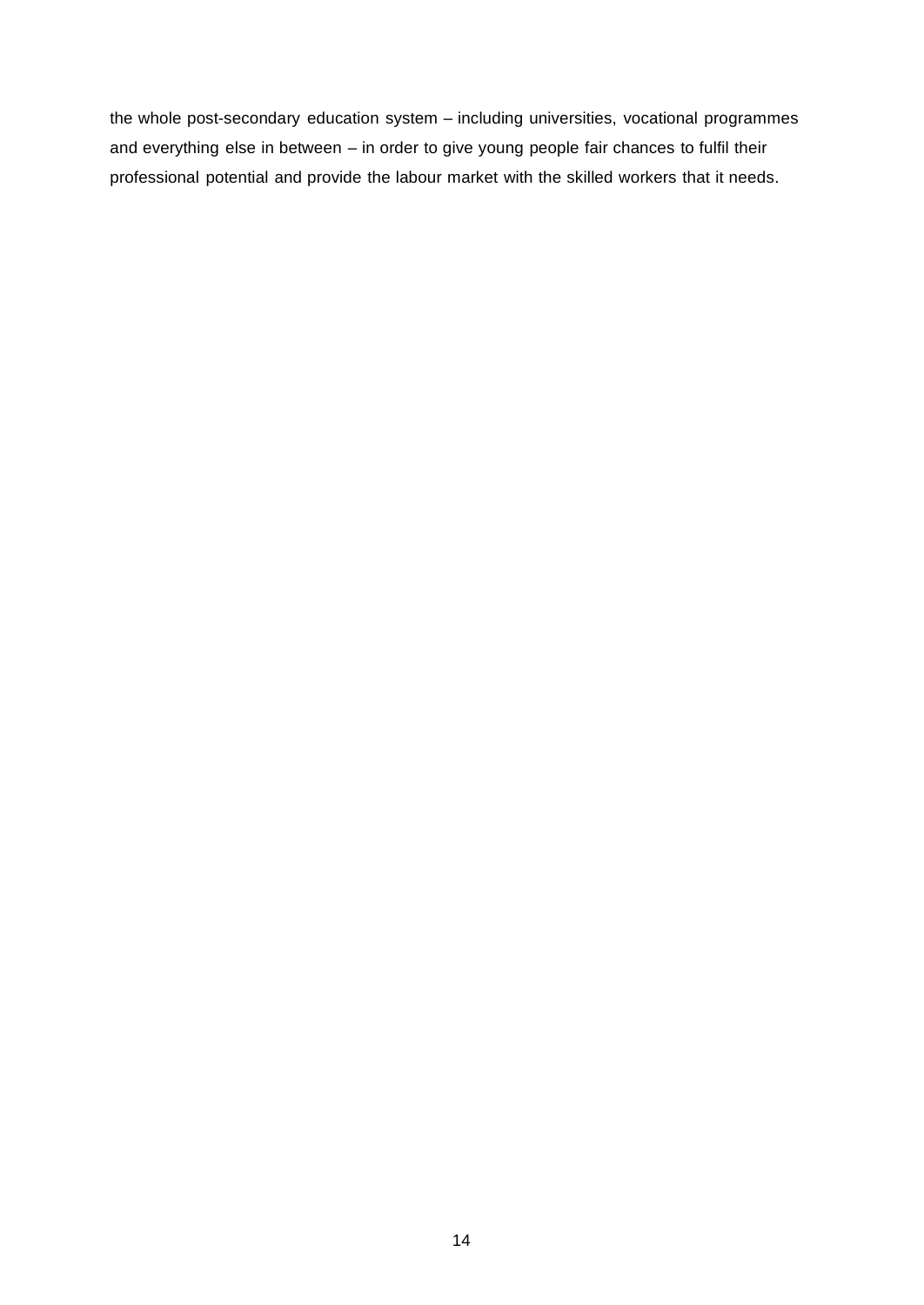the whole post-secondary education system – including universities, vocational programmes and everything else in between – in order to give young people fair chances to fulfil their professional potential and provide the labour market with the skilled workers that it needs.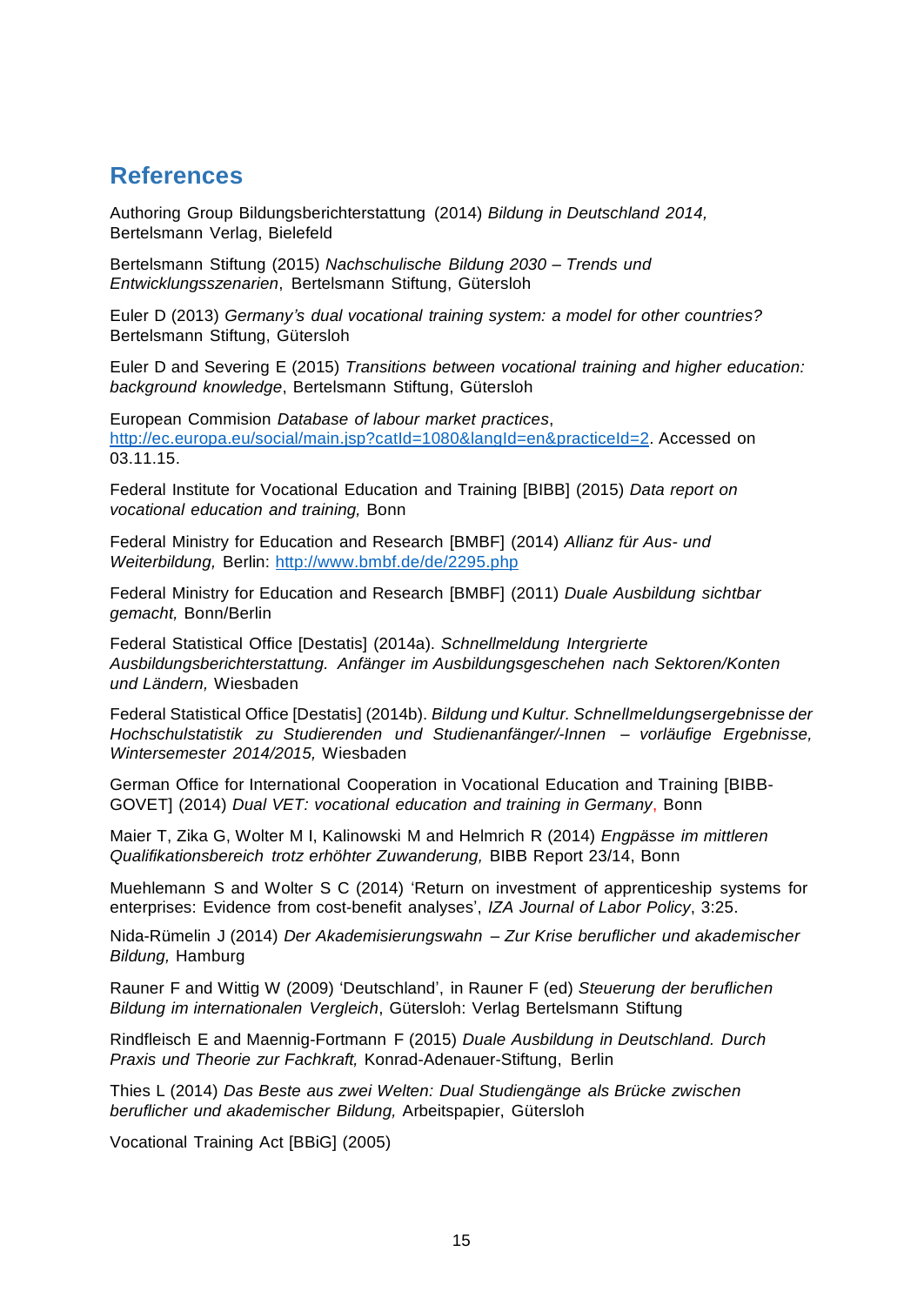### **References**

Authoring Group Bildungsberichterstattung (2014) *Bildung in Deutschland 2014,* Bertelsmann Verlag, Bielefeld

Bertelsmann Stiftung (2015) *Nachschulische Bildung 2030 – Trends und Entwicklungsszenarien*, Bertelsmann Stiftung, Gütersloh

Euler D (2013) *Germany's dual vocational training system: a model for other countries?* Bertelsmann Stiftung, Gütersloh

Euler D and Severing E (2015) *Transitions between vocational training and higher education: background knowledge*, Bertelsmann Stiftung, Gütersloh

European Commision *Database of labour market practices*, [http://ec.europa.eu/social/main.jsp?ca](http://ec.europa.eu/social/main.jsp)tId=1080&langId=en&practiceId=2. Accessed on 03.11.15.

Federal Institute for Vocational Education and Training [BIBB] (2015) *Data report on vocational education and training,* Bonn

Federal Ministry for Education and Research [BMBF] (2014) *Allianz für Aus- und Weiterbildung,* Berlin: <http://www.bmbf.de/de/2295.php>

Federal Ministry for Education and Research [BMBF] (2011) *Duale Ausbildung sichtbar gemacht,* Bonn/Berlin

Federal Statistical Office [Destatis] (2014a). *Schnellmeldung Intergrierte Ausbildungsberichterstattung. Anfänger im Ausbildungsgeschehen nach Sektoren/Konten und Ländern,* Wiesbaden

Federal Statistical Office [Destatis] (2014b). *Bildung und Kultur. Schnellmeldungsergebnisse der Hochschulstatistik zu Studierenden und Studienanfänger/-Innen – vorläufige Ergebnisse, Wintersemester 2014/2015,* Wiesbaden

German Office for International Cooperation in Vocational Education and Training [BIBB-GOVET] (2014) *Dual VET: vocational education and training in Germany*, Bonn

Maier T, Zika G, Wolter M I, Kalinowski M and Helmrich R (2014) *Engpässe im mittleren Qualifikationsbereich trotz erhöhter Zuwanderung,* BIBB Report 23/14, Bonn

Muehlemann S and Wolter S C (2014) 'Return on investment of apprenticeship systems for enterprises: Evidence from cost-benefit analyses', *IZA Journal of Labor Policy*, 3:25.

Nida-Rümelin J (2014) *Der Akademisierungswahn – Zur Krise beruflicher und akademischer Bildung,* Hamburg

Rauner F and Wittig W (2009) 'Deutschland', in Rauner F (ed) *Steuerung der beruflichen Bildung im internationalen Vergleich*, Gütersloh: Verlag Bertelsmann Stiftung

Rindfleisch E and Maennig-Fortmann F (2015) *Duale Ausbildung in Deutschland. Durch Praxis und Theorie zur Fachkraft,* Konrad-Adenauer-Stiftung, Berlin

Thies L (2014) *Das Beste aus zwei Welten: Dual Studiengänge als Brücke zwischen beruflicher und akademischer Bildung,* Arbeitspapier, Gütersloh

Vocational Training Act [BBiG] (2005)